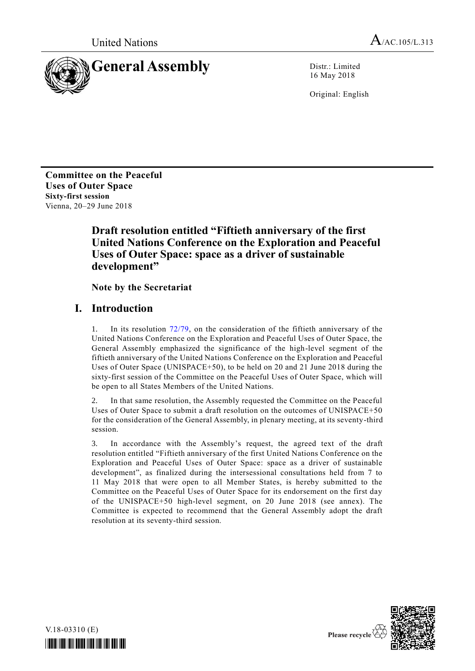

16 May 2018

Original: English

**Committee on the Peaceful Uses of Outer Space Sixty-first session** Vienna, 20–29 June 2018

# **Draft resolution entitled "Fiftieth anniversary of the first United Nations Conference on the Exploration and Peaceful Uses of Outer Space: space as a driver of sustainable development"**

**Note by the Secretariat**

## **I. Introduction**

1. In its resolution [72/79,](http://undocs.org/A/RES/72/79) on the consideration of the fiftieth anniversary of the United Nations Conference on the Exploration and Peaceful Uses of Outer Space, the General Assembly emphasized the significance of the high-level segment of the fiftieth anniversary of the United Nations Conference on the Exploration and Peaceful Uses of Outer Space (UNISPACE+50), to be held on 20 and 21 June 2018 during the sixty-first session of the Committee on the Peaceful Uses of Outer Space, which will be open to all States Members of the United Nations.

2. In that same resolution, the Assembly requested the Committee on the Peaceful Uses of Outer Space to submit a draft resolution on the outcomes of UNISPACE+50 for the consideration of the General Assembly, in plenary meeting, at its seventy-third session.

3. In accordance with the Assembly's request, the agreed text of the draft resolution entitled "Fiftieth anniversary of the first United Nations Conference on the Exploration and Peaceful Uses of Outer Space: space as a driver of sustainable development", as finalized during the intersessional consultations held from 7 to 11 May 2018 that were open to all Member States, is hereby submitted to the Committee on the Peaceful Uses of Outer Space for its endorsement on the first day of the UNISPACE+50 high-level segment, on 20 June 2018 (see annex). The Committee is expected to recommend that the General Assembly adopt the draft resolution at its seventy-third session.



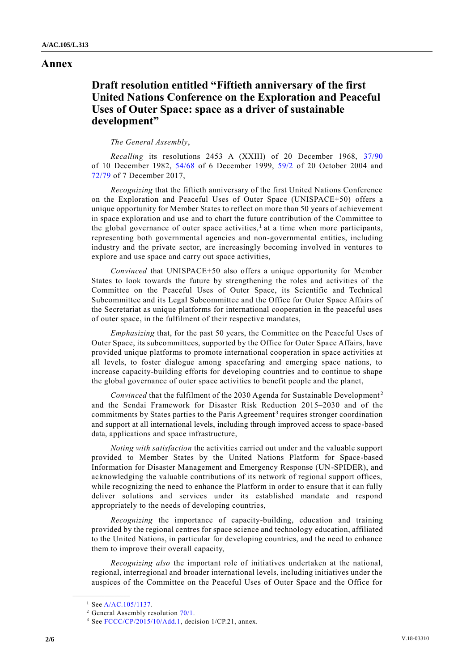### **Annex**

### **Draft resolution entitled "Fiftieth anniversary of the first United Nations Conference on the Exploration and Peaceful Uses of Outer Space: space as a driver of sustainable development"**

#### *The General Assembly*,

*Recalling* its resolutions 2453 A (XXIII) of 20 December 1968, [37/90](http://undocs.org/A/RES/37/90) of 10 December 1982, [54/68](http://undocs.org/A/RES/54/68) of 6 December 1999, [59/2](http://undocs.org/A/RES/59/2) of 20 October 2004 and [72/79](http://undocs.org/A/RES/72/79) of 7 December 2017,

*Recognizing* that the fiftieth anniversary of the first United Nations Conference on the Exploration and Peaceful Uses of Outer Space (UNISPACE+50) offers a unique opportunity for Member States to reflect on more than 50 years of achievement in space exploration and use and to chart the future contribution of the Committee to the global governance of outer space activities,<sup>1</sup> at a time when more participants, representing both governmental agencies and non-governmental entities, including industry and the private sector, are increasingly becoming involved in ventures to explore and use space and carry out space activities,

*Convinced* that UNISPACE+50 also offers a unique opportunity for Member States to look towards the future by strengthening the roles and activities of the Committee on the Peaceful Uses of Outer Space, its Scientific and Technical Subcommittee and its Legal Subcommittee and the Office for Outer Space Affairs of the Secretariat as unique platforms for international cooperation in the peaceful uses of outer space, in the fulfilment of their respective mandates,

*Emphasizing* that, for the past 50 years, the Committee on the Peaceful Uses of Outer Space, its subcommittees, supported by the Office for Outer Space Affairs, have provided unique platforms to promote international cooperation in space activities at all levels, to foster dialogue among spacefaring and emerging space nations, to increase capacity-building efforts for developing countries and to continue to shape the global governance of outer space activities to benefit people and the planet,

*Convinced* that the fulfilment of the 2030 Agenda for Sustainable Development<sup>2</sup> and the Sendai Framework for Disaster Risk Reduction 2015–2030 and of the commitments by States parties to the Paris Agreement<sup>3</sup> requires stronger coordination and support at all international levels, including through improved access to space-based data, applications and space infrastructure,

*Noting with satisfaction* the activities carried out under and the valuable support provided to Member States by the United Nations Platform for Space-based Information for Disaster Management and Emergency Response (UN-SPIDER), and acknowledging the valuable contributions of its network of regional support offices, while recognizing the need to enhance the Platform in order to ensure that it can fully deliver solutions and services under its established mandate and respond appropriately to the needs of developing countries,

*Recognizing* the importance of capacity-building, education and training provided by the regional centres for space science and technology education, affiliated to the United Nations, in particular for developing countries, and the need to enhance them to improve their overall capacity,

*Recognizing also* the important role of initiatives undertaken at the national, regional, interregional and broader international levels, including initiatives under the auspices of the Committee on the Peaceful Uses of Outer Space and the Office for

**\_\_\_\_\_\_\_\_\_\_\_\_\_\_\_\_\_\_**

<sup>&</sup>lt;sup>1</sup> See [A/AC.105/1137.](http://undocs.org/A/AC.105/1137)

<sup>2</sup> General Assembly resolution [70/1.](http://undocs.org/A/RES/70/1) 

<sup>&</sup>lt;sup>3</sup> See [FCCC/CP/2015/10/Add.1,](http://undocs.org/FCCC/CP/2015/10/Add.1) decision 1/CP.21, annex.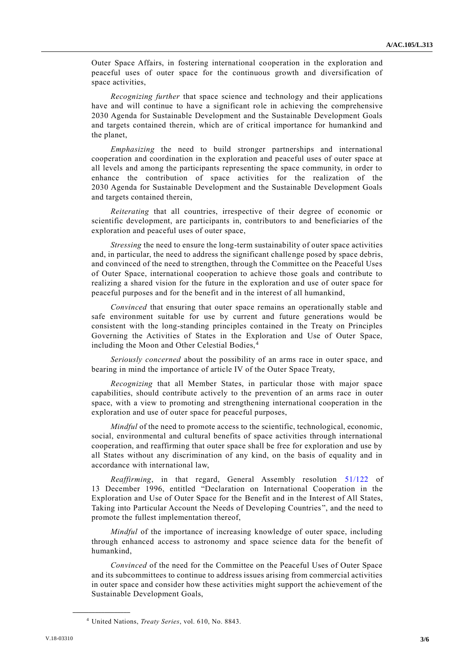Outer Space Affairs, in fostering international cooperation in the exploration and peaceful uses of outer space for the continuous growth and diversification of space activities,

*Recognizing further* that space science and technology and their applications have and will continue to have a significant role in achieving the comprehensive 2030 Agenda for Sustainable Development and the Sustainable Development Goals and targets contained therein, which are of critical importance for humankind and the planet,

*Emphasizing* the need to build stronger partnerships and international cooperation and coordination in the exploration and peaceful uses of outer space at all levels and among the participants representing the space community, in order to enhance the contribution of space activities for the realization of the 2030 Agenda for Sustainable Development and the Sustainable Development Goals and targets contained therein,

*Reiterating* that all countries, irrespective of their degree of economic or scientific development, are participants in, contributors to and beneficiaries of the exploration and peaceful uses of outer space,

*Stressing* the need to ensure the long-term sustainability of outer space activities and, in particular, the need to address the significant challenge posed by space debris, and convinced of the need to strengthen, through the Committee on the Peaceful Uses of Outer Space, international cooperation to achieve those goals and contribute to realizing a shared vision for the future in the exploration and use of outer space for peaceful purposes and for the benefit and in the interest of all humankind,

*Convinced* that ensuring that outer space remains an operationally stable and safe environment suitable for use by current and future generations would be consistent with the long-standing principles contained in the Treaty on Principles Governing the Activities of States in the Exploration and Use of Outer Space, including the Moon and Other Celestial Bodies, <sup>4</sup>

*Seriously concerned* about the possibility of an arms race in outer space, and bearing in mind the importance of article IV of the Outer Space Treaty,

*Recognizing* that all Member States, in particular those with major space capabilities, should contribute actively to the prevention of an arms race in outer space, with a view to promoting and strengthening international cooperation in the exploration and use of outer space for peaceful purposes,

*Mindful* of the need to promote access to the scientific, technological, economic, social, environmental and cultural benefits of space activities through international cooperation, and reaffirming that outer space shall be free for exploration and use by all States without any discrimination of any kind, on the basis of equality and in accordance with international law,

*Reaffirming*, in that regard, General Assembly resolution [51/122](http://undocs.org/A/RES/51/122) of 13 December 1996, entitled "Declaration on International Cooperation in the Exploration and Use of Outer Space for the Benefit and in the Interest of All States, Taking into Particular Account the Needs of Developing Countries", and the need to promote the fullest implementation thereof,

*Mindful* of the importance of increasing knowledge of outer space, including through enhanced access to astronomy and space science data for the benefit of humankind,

*Convinced* of the need for the Committee on the Peaceful Uses of Outer Space and its subcommittees to continue to address issues arising from commercial activities in outer space and consider how these activities might support the achievement of the Sustainable Development Goals,

**\_\_\_\_\_\_\_\_\_\_\_\_\_\_\_\_\_\_**

<sup>4</sup> United Nations, *Treaty Series*, vol. 610, No. 8843.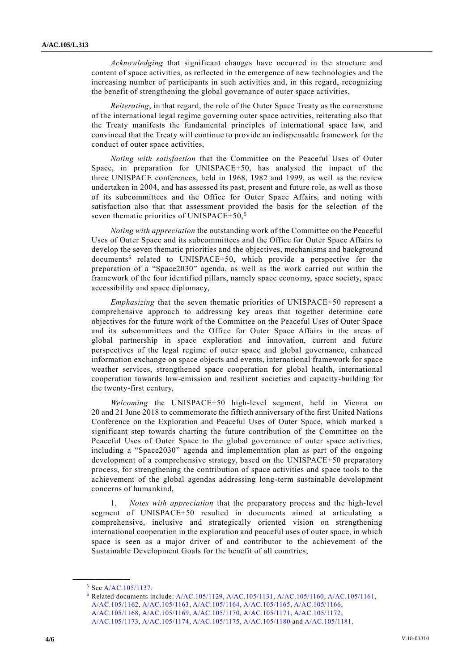*Acknowledging* that significant changes have occurred in the structure and content of space activities, as reflected in the emergence of new technologies and the increasing number of participants in such activities and, in this regard, recognizing the benefit of strengthening the global governance of outer space activities,

*Reiterating*, in that regard, the role of the Outer Space Treaty as the cornerstone of the international legal regime governing outer space activities, reiterating also that the Treaty manifests the fundamental principles of international space law, and convinced that the Treaty will continue to provide an indispensable framework for the conduct of outer space activities,

*Noting with satisfaction* that the Committee on the Peaceful Uses of Outer Space, in preparation for UNISPACE+50, has analysed the impact of the three UNISPACE conferences, held in 1968, 1982 and 1999, as well as the review undertaken in 2004, and has assessed its past, present and future role, as well as those of its subcommittees and the Office for Outer Space Affairs, and noting with satisfaction also that that assessment provided the basis for the selection of the seven thematic priorities of UNISPACE $+50$ ,  $5$ 

*Noting with appreciation* the outstanding work of the Committee on the Peaceful Uses of Outer Space and its subcommittees and the Office for Outer Space Affairs to develop the seven thematic priorities and the objectives, mechanisms and background documents<sup>6</sup> related to UNISPACE+50, which provide a perspective for the preparation of a "Space2030" agenda, as well as the work carried out within the framework of the four identified pillars, namely space economy, space society, space accessibility and space diplomacy,

*Emphasizing* that the seven thematic priorities of UNISPACE+50 represent a comprehensive approach to addressing key areas that together determine core objectives for the future work of the Committee on the Peaceful Uses of Outer Space and its subcommittees and the Office for Outer Space Affairs in the areas of global partnership in space exploration and innovation, current and future perspectives of the legal regime of outer space and global governance, enhanced information exchange on space objects and events, international framework for space weather services, strengthened space cooperation for global health, international cooperation towards low-emission and resilient societies and capacity-building for the twenty-first century,

*Welcoming* the UNISPACE+50 high-level segment, held in Vienna on 20 and 21 June 2018 to commemorate the fiftieth anniversary of the first United Nations Conference on the Exploration and Peaceful Uses of Outer Space, which marked a significant step towards charting the future contribution of the Committee on the Peaceful Uses of Outer Space to the global governance of outer space activities, including a "Space2030" agenda and implementation plan as part of the ongoing development of a comprehensive strategy, based on the UNISPACE+50 preparatory process, for strengthening the contribution of space activities and space tools to the achievement of the global agendas addressing long-term sustainable development concerns of humankind,

1. *Notes with appreciation* that the preparatory process and the high-level segment of UNISPACE+50 resulted in documents aimed at articulating a comprehensive, inclusive and strategically oriented vision on strengthening international cooperation in the exploration and peaceful uses of outer space, in which space is seen as a major driver of and contributor to the achievement of the Sustainable Development Goals for the benefit of all countries;

**\_\_\_\_\_\_\_\_\_\_\_\_\_\_\_\_\_\_**

<sup>5</sup> See [A/AC.105/1137.](http://undocs.org/A/AC.105/1137)

<sup>6</sup> Related documents include[: A/AC.105/1129,](http://undocs.org/A/AC.105/1129) [A/AC.105/1131,](http://undocs.org/A/AC.105/1131) [A/AC.105/1160,](http://undocs.org/A/AC.105/1160) [A/AC.105/1161,](http://undocs.org/A/AC.105/1161) [A/AC.105/1162,](http://undocs.org/A/AC.105/1162) [A/AC.105/1163,](http://undocs.org/A/AC.105/1163) [A/AC.105/1164,](http://undocs.org/A/AC.105/1164) [A/AC.105/1165,](http://undocs.org/A/AC.105/1165) [A/AC.105/1166,](http://undocs.org/A/AC.105/1166) [A/AC.105/1168,](http://undocs.org/A/AC.105/1168) [A/AC.105/1169,](http://undocs.org/A/AC.105/1169) [A/AC.105/1170,](http://undocs.org/A/AC.105/1170) [A/AC.105/1171,](http://undocs.org/A/AC.105/1171) [A/AC.105/1172,](http://undocs.org/A/AC.105/1172) [A/AC.105/1173,](http://undocs.org/A/AC.105/1173) [A/AC.105/1174,](http://undocs.org/A/AC.105/1174) [A/AC.105/1175,](http://undocs.org/A/AC.105/1175) [A/AC.105/1180](http://undocs.org/A/AC.105/1180) and [A/AC.105/1181.](http://undocs.org/A/AC.105/1181)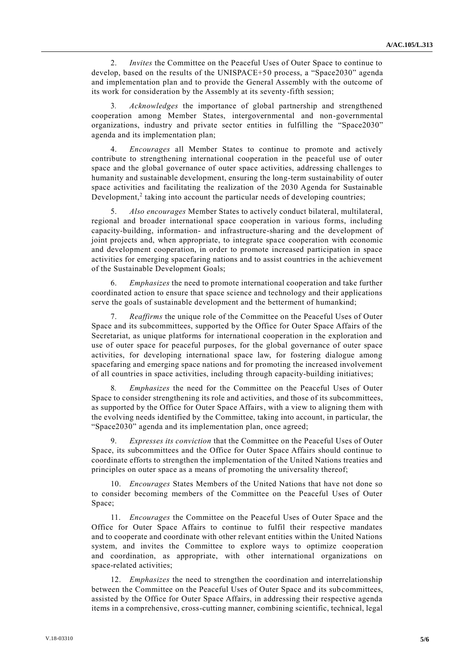2. *Invites* the Committee on the Peaceful Uses of Outer Space to continue to develop, based on the results of the UNISPACE+50 process, a "Space2030" agenda and implementation plan and to provide the General Assembly with the outcome of its work for consideration by the Assembly at its seventy-fifth session;

3*. Acknowledges* the importance of global partnership and strengthened cooperation among Member States, intergovernmental and non-governmental organizations, industry and private sector entities in fulfilling the "Space2030" agenda and its implementation plan;

4. *Encourages* all Member States to continue to promote and actively contribute to strengthening international cooperation in the peaceful use of outer space and the global governance of outer space activities, addressing challenges to humanity and sustainable development, ensuring the long-term sustainability of outer space activities and facilitating the realization of the 2030 Agenda for Sustainable Development,<sup>2</sup> taking into account the particular needs of developing countries;

5. *Also encourages* Member States to actively conduct bilateral, multilateral, regional and broader international space cooperation in various forms, including capacity-building, information- and infrastructure-sharing and the development of joint projects and, when appropriate, to integrate space cooperation with economic and development cooperation, in order to promote increased participation in space activities for emerging spacefaring nations and to assist countries in the achievement of the Sustainable Development Goals;

6. *Emphasizes* the need to promote international cooperation and take further coordinated action to ensure that space science and technology and their applications serve the goals of sustainable development and the betterment of humankind;

7. *Reaffirms* the unique role of the Committee on the Peaceful Uses of Outer Space and its subcommittees, supported by the Office for Outer Space Affairs of the Secretariat, as unique platforms for international cooperation in the exploration and use of outer space for peaceful purposes, for the global governance of outer space activities, for developing international space law, for fostering dialogue among spacefaring and emerging space nations and for promoting the increased involvement of all countries in space activities, including through capacity-building initiatives;

8*. Emphasizes* the need for the Committee on the Peaceful Uses of Outer Space to consider strengthening its role and activities, and those of its subcommittees, as supported by the Office for Outer Space Affairs, with a view to aligning them with the evolving needs identified by the Committee, taking into account, in particular, the "Space2030" agenda and its implementation plan, once agreed;

9. *Expresses its conviction* that the Committee on the Peaceful Uses of Outer Space, its subcommittees and the Office for Outer Space Affairs should continue to coordinate efforts to strengthen the implementation of the United Nations treaties and principles on outer space as a means of promoting the universality thereof;

10. *Encourages* States Members of the United Nations that have not done so to consider becoming members of the Committee on the Peaceful Uses of Outer Space;

11. *Encourages* the Committee on the Peaceful Uses of Outer Space and the Office for Outer Space Affairs to continue to fulfil their respective mandates and to cooperate and coordinate with other relevant entities within the United Nations system, and invites the Committee to explore ways to optimize cooperation and coordination, as appropriate, with other international organizations on space-related activities;

12. *Emphasizes* the need to strengthen the coordination and interrelationship between the Committee on the Peaceful Uses of Outer Space and its sub committees, assisted by the Office for Outer Space Affairs, in addressing their respective agenda items in a comprehensive, cross-cutting manner, combining scientific, technical, legal